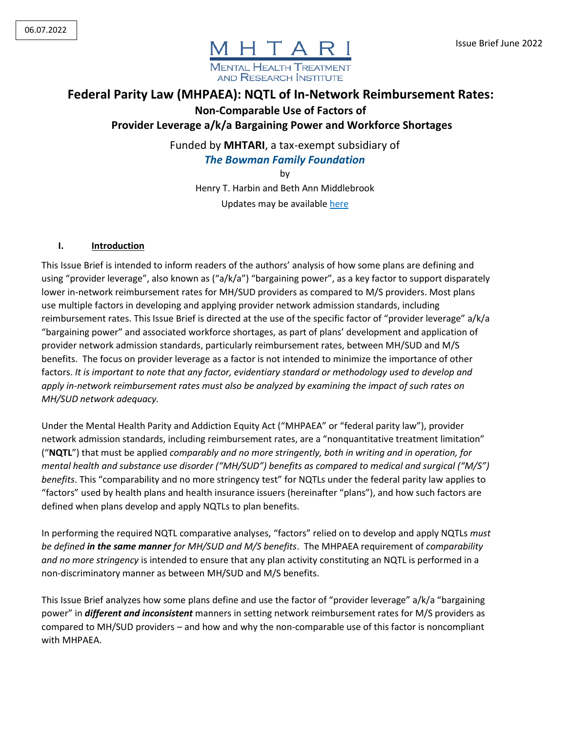

# **Federal Parity Law (MHPAEA): NQTL of In-Network Reimbursement Rates: Non-Comparable Use of Factors of**

**Provider Leverage a/k/a Bargaining Power and Workforce Shortages**

Funded by **MHTARI**, a tax-exempt subsidiary of *The Bowman Family Foundation*

by

Henry T. Harbin and Beth Ann Middlebrook Updates may be available here

#### **I. Introduction**

This Issue Brief is intended to inform readers of the authors' analysis of how some plans are defining and using "provider leverage", also known as ("a/k/a") "bargaining power", as a key factor to support disparately lower in-network reimbursement rates for MH/SUD providers as compared to M/S providers. Most plans use multiple factors in developing and applying provider network admission standards, including reimbursement rates. This Issue Brief is directed at the use of the specific factor of "provider leverage" a/k/a "bargaining power" and associated workforce shortages, as part of plans' development and application of provider network admission standards, particularly reimbursement rates, between MH/SUD and M/S benefits. The focus on provider leverage as a factor is not intended to minimize the importance of other factors. *It is important to note that any factor, evidentiary standard or methodology used to develop and apply in-network reimbursement rates must also be analyzed by examining the impact of such rates on MH/SUD network adequacy.* 

Under the Mental Health Parity and Addiction Equity Act ("MHPAEA" or "federal parity law"), provider network admission standards, including reimbursement rates, are a "nonquantitative treatment limitation" ("**NQTL**") that must be applied *comparably and no more stringently, both in writing and in operation, for mental health and substance use disorder ("MH/SUD") benefits as compared to medical and surgical ("M/S") benefits*. This "comparability and no more stringency test" for NQTLs under the federal parity law applies to "factors" used by health plans and health insurance issuers (hereinafter "plans"), and how such factors are defined when plans develop and apply NQTLs to plan benefits.

In performing the required NQTL comparative analyses, "factors" relied on to develop and apply NQTLs *must be defined in the same manner for MH/SUD and M/S benefits*. The MHPAEA requirement of *comparability and no more stringency* is intended to ensure that any plan activity constituting an NQTL is performed in a non-discriminatory manner as between MH/SUD and M/S benefits.

This Issue Brief analyzes how some plans define and use the factor of "provider leverage" a/k/a "bargaining power" in *different and inconsistent* manners in setting network reimbursement rates for M/S providers as compared to MH/SUD providers – and how and why the non-comparable use of this factor is noncompliant with MHPAEA.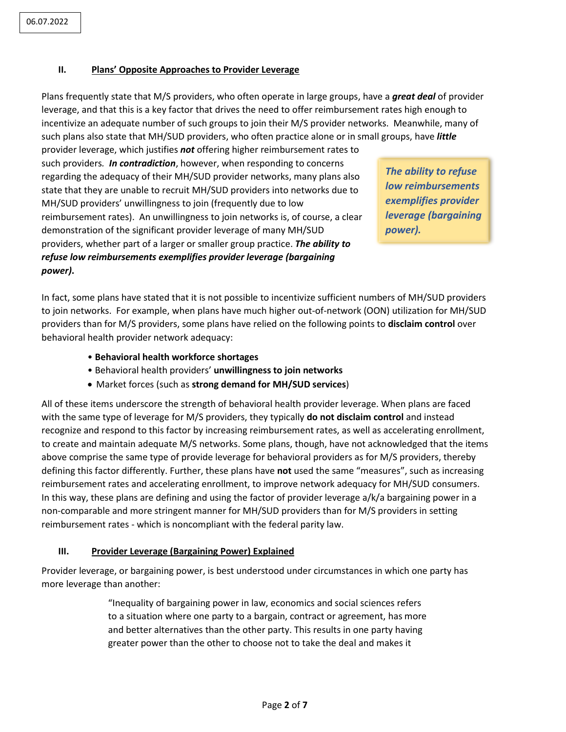#### **II. Plans' Opposite Approaches to Provider Leverage**

Plans frequently state that M/S providers, who often operate in large groups, have a *great deal* of provider leverage, and that this is a key factor that drives the need to offer reimbursement rates high enough to incentivize an adequate number of such groups to join their M/S provider networks. Meanwhile, many of such plans also state that MH/SUD providers, who often practice alone or in small groups, have *little* provider leverage, which justifies *not* offering higher reimbursement rates to 

such providers*. In contradiction*, however, when responding to concerns regarding the adequacy of their MH/SUD provider networks, many plans also state that they are unable to recruit MH/SUD providers into networks due to MH/SUD providers' unwillingness to join (frequently due to low reimbursement rates). An unwillingness to join networks is, of course, a clear demonstration of the significant provider leverage of many MH/SUD providers, whether part of a larger or smaller group practice. *The ability to refuse low reimbursements exemplifies provider leverage (bargaining power)***.** 

*The ability to refuse low reimbursements exemplifies provider leverage (bargaining power).*

In fact, some plans have stated that it is not possible to incentivize sufficient numbers of MH/SUD providers to join networks. For example, when plans have much higher out-of-network (OON) utilization for MH/SUD providers than for M/S providers, some plans have relied on the following points to **disclaim control** over behavioral health provider network adequacy:

- **Behavioral health workforce shortages**
- Behavioral health providers' **unwillingness to join networks**
- Market forces (such as **strong demand for MH/SUD services**)

All of these items underscore the strength of behavioral health provider leverage. When plans are faced with the same type of leverage for M/S providers, they typically **do not disclaim control** and instead recognize and respond to this factor by increasing reimbursement rates, as well as accelerating enrollment, to create and maintain adequate M/S networks. Some plans, though, have not acknowledged that the items above comprise the same type of provide leverage for behavioral providers as for M/S providers, thereby defining this factor differently. Further, these plans have **not** used the same "measures", such as increasing reimbursement rates and accelerating enrollment, to improve network adequacy for MH/SUD consumers. In this way, these plans are defining and using the factor of provider leverage a/k/a bargaining power in a non-comparable and more stringent manner for MH/SUD providers than for M/S providers in setting reimbursement rates - which is noncompliant with the federal parity law.

### **III. Provider Leverage (Bargaining Power) Explained**

Provider leverage, or bargaining power, is best understood under circumstances in which one party has more leverage than another:

> "Inequality of bargaining power in law, economics and social sciences refers to a situation where one party to a bargain, contract or agreement, has more and better alternatives than the other party. This results in one party having greater power than the other to choose not to take the deal and makes it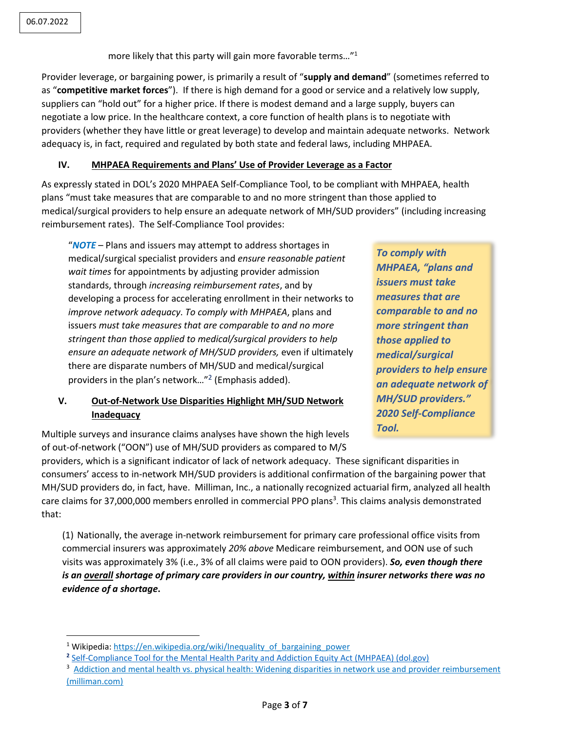$\overline{\phantom{a}}$ 

more likely that this party will gain more favorable terms..."<sup>1</sup>

Provider leverage, or bargaining power, is primarily a result of "**supply and demand**" (sometimes referred to as "**competitive market forces**"). If there is high demand for a good or service and a relatively low supply, suppliers can "hold out" for a higher price. If there is modest demand and a large supply, buyers can negotiate a low price. In the healthcare context, a core function of health plans is to negotiate with providers (whether they have little or great leverage) to develop and maintain adequate networks. Network adequacy is, in fact, required and regulated by both state and federal laws, including MHPAEA.

## **IV. MHPAEA Requirements and Plans' Use of Provider Leverage as a Factor**

As expressly stated in DOL's 2020 MHPAEA Self-Compliance Tool, to be compliant with MHPAEA, health plans "must take measures that are comparable to and no more stringent than those applied to medical/surgical providers to help ensure an adequate network of MH/SUD providers" (including increasing reimbursement rates). The Self-Compliance Tool provides:

"*NOTE* – Plans and issuers may attempt to address shortages in medical/surgical specialist providers and *ensure reasonable patient wait times* for appointments by adjusting provider admission standards, through *increasing reimbursement rates*, and by developing a process for accelerating enrollment in their networks to *improve network adequacy*. *To comply with MHPAEA*, plans and issuers *must take measures that are comparable to and no more stringent than those applied to medical/surgical providers to help ensure an adequate network of MH/SUD providers,* even if ultimately there are disparate numbers of MH/SUD and medical/surgical providers in the plan's network..."<sup>2</sup> (Emphasis added).

# **V. Out-of-Network Use Disparities Highlight MH/SUD Network Inadequacy**

*To comply with MHPAEA, "plans and issuers must take measures that are comparable to and no more stringent than those applied to medical/surgical providers to help ensure an adequate network of MH/SUD providers." 2020 Self-Compliance Tool.* 

Multiple surveys and insurance claims analyses have shown the high levels of out-of-network ("OON") use of MH/SUD providers as compared to M/S

providers, which is a significant indicator of lack of network adequacy. These significant disparities in consumers' access to in-network MH/SUD providers is additional confirmation of the bargaining power that MH/SUD providers do, in fact, have. Milliman, Inc., a nationally recognized actuarial firm, analyzed all health care claims for 37,000,000 members enrolled in commercial PPO plans<sup>3</sup>. This claims analysis demonstrated that:

(1) Nationally, the average in-network reimbursement for primary care professional office visits from commercial insurers was approximately *20% above* Medicare reimbursement, and OON use of such visits was approximately 3% (i.e., 3% of all claims were paid to OON providers). *So, even though there is an overall shortage of primary care providers in our country, within insurer networks there was no evidence of a shortage***.** 

<sup>&</sup>lt;sup>1</sup> Wikipedia: [https://en.wikipedia.org/wiki/Inequality\\_of\\_bargaining\\_power](https://en.wikipedia.org/wiki/Inequality_of_bargaining_power)

**<sup>2</sup>** [Self-Compliance Tool for the Mental Health Parity and Addiction Equity Act \(MHPAEA\) \(dol.gov\)](https://www.dol.gov/sites/dolgov/files/EBSA/laws-and-regulations/laws/mental-health-parity/self-compliance-tool.pdf)

<sup>&</sup>lt;sup>3</sup> Addiction and mental health vs. physical health: Widening disparities in network use and provider reimbursement [\(milliman.com\)](https://www.milliman.com/-/media/milliman/importedfiles/ektron/addictionandmentalhealthvsphysicalhealthwideningdisparitiesinnetworkuseandproviderreimbursement.ashx)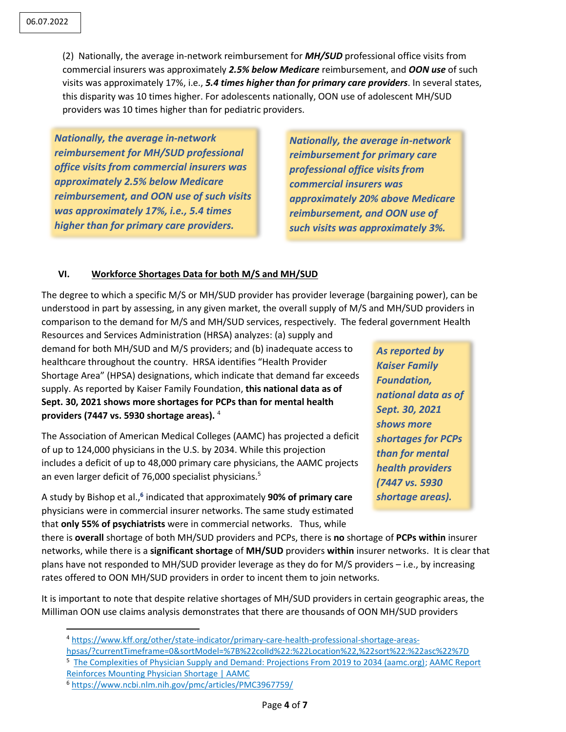(2) Nationally, the average in-network reimbursement for *MH/SUD* professional office visits from commercial insurers was approximately *2.5% below Medicare* reimbursement, and *OON use* of such visits was approximately 17%, i.e., *5.4 times higher than for primary care providers*. In several states, this disparity was 10 times higher. For adolescents nationally, OON use of adolescent MH/SUD providers was 10 times higher than for pediatric providers.

*Nationally, the average in-network reimbursement for MH/SUD professional office visits from commercial insurers was approximately 2.5% below Medicare reimbursement, and OON use of such visits was approximately 17%, i.e., 5.4 times higher than for primary care providers.*

*Nationally, the average in-network reimbursement for primary care professional office visits from commercial insurers was approximately 20% above Medicare reimbursement, and OON use of such visits was approximately 3%.*

### **VI. Workforce Shortages Data for both M/S and MH/SUD**

The degree to which a specific M/S or MH/SUD provider has provider leverage (bargaining power), can be understood in part by assessing, in any given market, the overall supply of M/S and MH/SUD providers in comparison to the demand for M/S and MH/SUD services, respectively. The federal government Health

Resources and Services Administration (HRSA) analyzes: (a) supply and demand for both MH/SUD and M/S providers; and (b) inadequate access to healthcare throughout the country. HRSA identifies "Health Provider Shortage Area" (HPSA) designations, which indicate that demand far exceeds supply. As reported by Kaiser Family Foundation, **this national data as of Sept. 30, 2021 shows more shortages for PCPs than for mental health providers (7447 vs. 5930 shortage areas).** <sup>4</sup>

The Association of American Medical Colleges (AAMC) has projected a deficit of up to 124,000 physicians in the U.S. by 2034. While this projection includes a deficit of up to 48,000 primary care physicians, the AAMC projects an even larger deficit of 76,000 specialist physicians.<sup>5</sup>

A study by Bishop et al., **6** indicated that approximately **90% of primary care** physicians were in commercial insurer networks. The same study estimated that **only 55% of psychiatrists** were in commercial networks. Thus, while

*As reported by Kaiser Family Foundation, national data as of Sept. 30, 2021 shows more shortages for PCPs than for mental health providers (7447 vs. 5930 shortage areas).*

there is **overall** shortage of both MH/SUD providers and PCPs, there is **no** shortage of **PCPs within** insurer networks, while there is a **significant shortage** of **MH/SUD** providers **within** insurer networks. It is clear that plans have not responded to MH/SUD provider leverage as they do for M/S providers – i.e., by increasing rates offered to OON MH/SUD providers in order to incent them to join networks.

It is important to note that despite relative shortages of MH/SUD providers in certain geographic areas, the Milliman OON use claims analysis demonstrates that there are thousands of OON MH/SUD providers

<sup>5</sup> [The Complexities of Physician Supply and Demand: Projections From 2019 to 2034 \(aamc.org\);](https://www.aamc.org/media/54681/download?attachment) AAMC Report [Reinforces Mounting Physician Shortage | AAMC](https://www.aamc.org/news-insights/press-releases/aamc-report-reinforces-mounting-physician-shortage)

l

<sup>4</sup> [https://www.kff.org/other/state-indicator/primary-care-health-professional-shortage-areas-](https://www.kff.org/other/state-indicator/primary-care-health-professional-shortage-areas-hpsas/?currentTimeframe=0&sortModel=%7B%22colId%22:%22Location%22,%22sort%22:%22asc%22%7D)

[hpsas/?currentTimeframe=0&sortModel=%7B%22colId%22:%22Location%22,%22sort%22:%22asc%22%7D](https://www.kff.org/other/state-indicator/primary-care-health-professional-shortage-areas-hpsas/?currentTimeframe=0&sortModel=%7B%22colId%22:%22Location%22,%22sort%22:%22asc%22%7D)

<sup>6</sup> <https://www.ncbi.nlm.nih.gov/pmc/articles/PMC3967759/>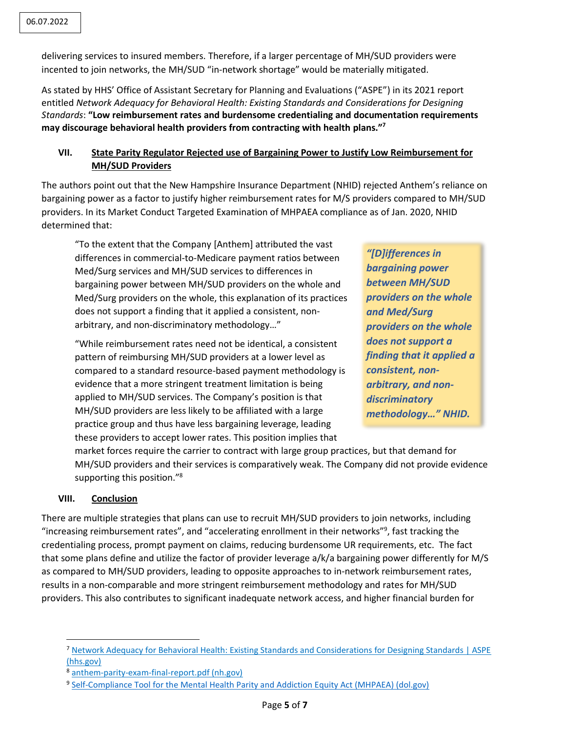delivering services to insured members. Therefore, if a larger percentage of MH/SUD providers were incented to join networks, the MH/SUD "in-network shortage" would be materially mitigated.

As stated by HHS' Office of Assistant Secretary for Planning and Evaluations ("ASPE") in its 2021 report entitled *Network Adequacy for Behavioral Health: Existing Standards and Considerations for Designing Standards*: **"Low reimbursement rates and burdensome credentialing and documentation requirements may discourage behavioral health providers from contracting with health plans." 7**

## **VII. State Parity Regulator Rejected use of Bargaining Power to Justify Low Reimbursement for MH/SUD Providers**

The authors point out that the New Hampshire Insurance Department (NHID) rejected Anthem's reliance on bargaining power as a factor to justify higher reimbursement rates for M/S providers compared to MH/SUD providers. In its Market Conduct Targeted Examination of MHPAEA compliance as of Jan. 2020, NHID determined that:

"To the extent that the Company [Anthem] attributed the vast differences in commercial-to-Medicare payment ratios between Med/Surg services and MH/SUD services to differences in bargaining power between MH/SUD providers on the whole and Med/Surg providers on the whole, this explanation of its practices does not support a finding that it applied a consistent, nonarbitrary, and non-discriminatory methodology…"

"While reimbursement rates need not be identical, a consistent pattern of reimbursing MH/SUD providers at a lower level as compared to a standard resource-based payment methodology is evidence that a more stringent treatment limitation is being applied to MH/SUD services. The Company's position is that MH/SUD providers are less likely to be affiliated with a large practice group and thus have less bargaining leverage, leading these providers to accept lower rates. This position implies that

*"[D]ifferences in bargaining power between MH/SUD providers on the whole and Med/Surg providers on the whole does not support a finding that it applied a consistent, nonarbitrary, and nondiscriminatory methodology…" NHID.*

market forces require the carrier to contract with large group practices, but that demand for MH/SUD providers and their services is comparatively weak. The Company did not provide evidence supporting this position."<sup>8</sup>

### **VIII. Conclusion**

 $\overline{\phantom{a}}$ 

There are multiple strategies that plans can use to recruit MH/SUD providers to join networks, including "increasing reimbursement rates", and "accelerating enrollment in their networks"<sup>9</sup> , fast tracking the credentialing process, prompt payment on claims, reducing burdensome UR requirements, etc. The fact that some plans define and utilize the factor of provider leverage a/k/a bargaining power differently for M/S as compared to MH/SUD providers, leading to opposite approaches to in-network reimbursement rates, results in a non-comparable and more stringent reimbursement methodology and rates for MH/SUD providers. This also contributes to significant inadequate network access, and higher financial burden for

<sup>7</sup> [Network Adequacy for Behavioral Health: Existing Standards and Considerations for Designing Standards | ASPE](https://aspe.hhs.gov/reports/network-adequacy-behavioral-health)  [\(hhs.gov\)](https://aspe.hhs.gov/reports/network-adequacy-behavioral-health)

<sup>8</sup> [anthem-parity-exam-final-report.pdf \(nh.gov\)](https://www.nh.gov/insurance/consumers/documents/anthem-parity-exam-final-report.pdf)

<sup>&</sup>lt;sup>9</sup> [Self-Compliance Tool for the Mental Health Parity and Addiction Equity Act \(MHPAEA\) \(dol.gov\)](https://www.dol.gov/sites/dolgov/files/EBSA/laws-and-regulations/laws/mental-health-parity/self-compliance-tool.pdf)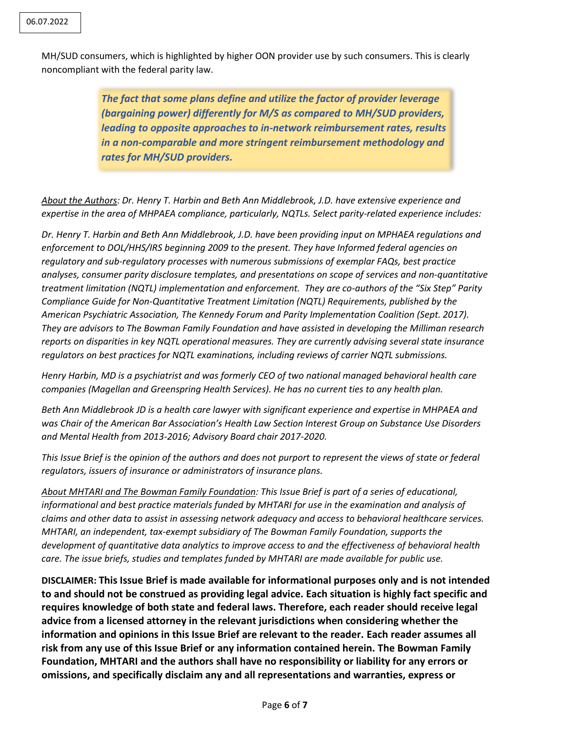MH/SUD consumers, which is highlighted by higher OON provider use by such consumers. This is clearly noncompliant with the federal parity law.

> *The fact that some plans define and utilize the factor of provider leverage (bargaining power) differently for M/S as compared to MH/SUD providers, leading to opposite approaches to in-network reimbursement rates, results in a non-comparable and more stringent reimbursement methodology and rates for MH/SUD providers.*

*About the Authors: Dr. Henry T. Harbin and Beth Ann Middlebrook, J.D. have extensive experience and expertise in the area of MHPAEA compliance, particularly, NQTLs. Select parity-related experience includes:*

*Dr. Henry T. Harbin and Beth Ann Middlebrook, J.D. have been providing input on MPHAEA regulations and enforcement to DOL/HHS/IRS beginning 2009 to the present. They have Informed federal agencies on regulatory and sub-regulatory processes with numerous submissions of exemplar FAQs, best practice analyses, consumer parity disclosure templates, and presentations on scope of services and non-quantitative treatment limitation (NQTL) implementation and enforcement. They are co-authors of the "Six Step" Parity Compliance Guide for Non-Quantitative Treatment Limitation (NQTL) Requirements, published by the American Psychiatric Association, The Kennedy Forum and Parity Implementation Coalition (Sept. 2017). They are advisors to The Bowman Family Foundation and have assisted in developing the Milliman research reports on disparities in key NQTL operational measures. They are currently advising several state insurance regulators on best practices for NQTL examinations, including reviews of carrier NQTL submissions.* 

*Henry Harbin, MD is a psychiatrist and was formerly CEO of two national managed behavioral health care companies (Magellan and Greenspring Health Services). He has no current ties to any health plan.* 

*Beth Ann Middlebrook JD is a health care lawyer with significant experience and expertise in MHPAEA and was Chair of the American Bar Association's Health Law Section Interest Group on Substance Use Disorders and Mental Health from 2013-2016; Advisory Board chair 2017-2020.*

*This Issue Brief is the opinion of the authors and does not purport to represent the views of state or federal regulators, issuers of insurance or administrators of insurance plans.* 

*About MHTARI and The Bowman Family Foundation: This Issue Brief is part of a series of educational, informational and best practice materials funded by MHTARI for use in the examination and analysis of claims and other data to assist in assessing network adequacy and access to behavioral healthcare services. MHTARI, an independent, tax-exempt subsidiary of The Bowman Family Foundation, supports the development of quantitative data analytics to improve access to and the effectiveness of behavioral health care. The issue briefs, studies and templates funded by MHTARI are made available for public use.*

**DISCLAIMER: This Issue Brief is made available for informational purposes only and is not intended to and should not be construed as providing legal advice. Each situation is highly fact specific and requires knowledge of both state and federal laws. Therefore, each reader should receive legal advice from a licensed attorney in the relevant jurisdictions when considering whether the information and opinions in this Issue Brief are relevant to the reader. Each reader assumes all risk from any use of this Issue Brief or any information contained herein. The Bowman Family Foundation, MHTARI and the authors shall have no responsibility or liability for any errors or omissions, and specifically disclaim any and all representations and warranties, express or**